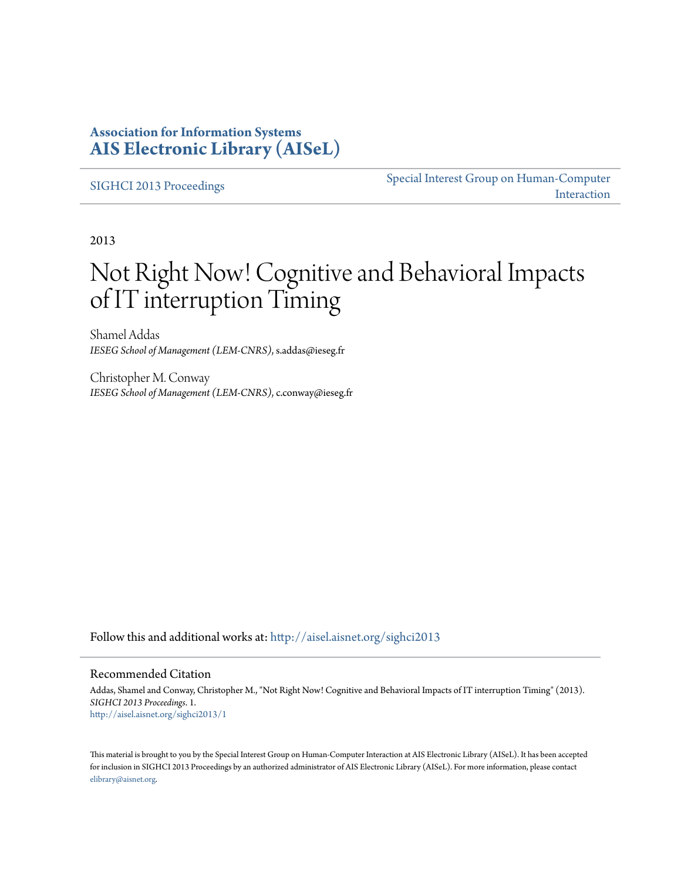## **Association for Information Systems [AIS Electronic Library \(AISeL\)](http://aisel.aisnet.org?utm_source=aisel.aisnet.org%2Fsighci2013%2F1&utm_medium=PDF&utm_campaign=PDFCoverPages)**

[SIGHCI 2013 Proceedings](http://aisel.aisnet.org/sighci2013?utm_source=aisel.aisnet.org%2Fsighci2013%2F1&utm_medium=PDF&utm_campaign=PDFCoverPages)

[Special Interest Group on Human-Computer](http://aisel.aisnet.org/sighci?utm_source=aisel.aisnet.org%2Fsighci2013%2F1&utm_medium=PDF&utm_campaign=PDFCoverPages) [Interaction](http://aisel.aisnet.org/sighci?utm_source=aisel.aisnet.org%2Fsighci2013%2F1&utm_medium=PDF&utm_campaign=PDFCoverPages)

2013

# Not Right Now! Cognitive and Behavioral Impacts of IT interruption Timing

Shamel Addas *IESEG School of Management (LEM-CNRS)*, s.addas@ieseg.fr

Christopher M. Conway *IESEG School of Management (LEM-CNRS)*, c.conway@ieseg.fr

Follow this and additional works at: [http://aisel.aisnet.org/sighci2013](http://aisel.aisnet.org/sighci2013?utm_source=aisel.aisnet.org%2Fsighci2013%2F1&utm_medium=PDF&utm_campaign=PDFCoverPages)

#### Recommended Citation

Addas, Shamel and Conway, Christopher M., "Not Right Now! Cognitive and Behavioral Impacts of IT interruption Timing" (2013). *SIGHCI 2013 Proceedings*. 1. [http://aisel.aisnet.org/sighci2013/1](http://aisel.aisnet.org/sighci2013/1?utm_source=aisel.aisnet.org%2Fsighci2013%2F1&utm_medium=PDF&utm_campaign=PDFCoverPages)

This material is brought to you by the Special Interest Group on Human-Computer Interaction at AIS Electronic Library (AISeL). It has been accepted for inclusion in SIGHCI 2013 Proceedings by an authorized administrator of AIS Electronic Library (AISeL). For more information, please contact [elibrary@aisnet.org.](mailto:elibrary@aisnet.org%3E)